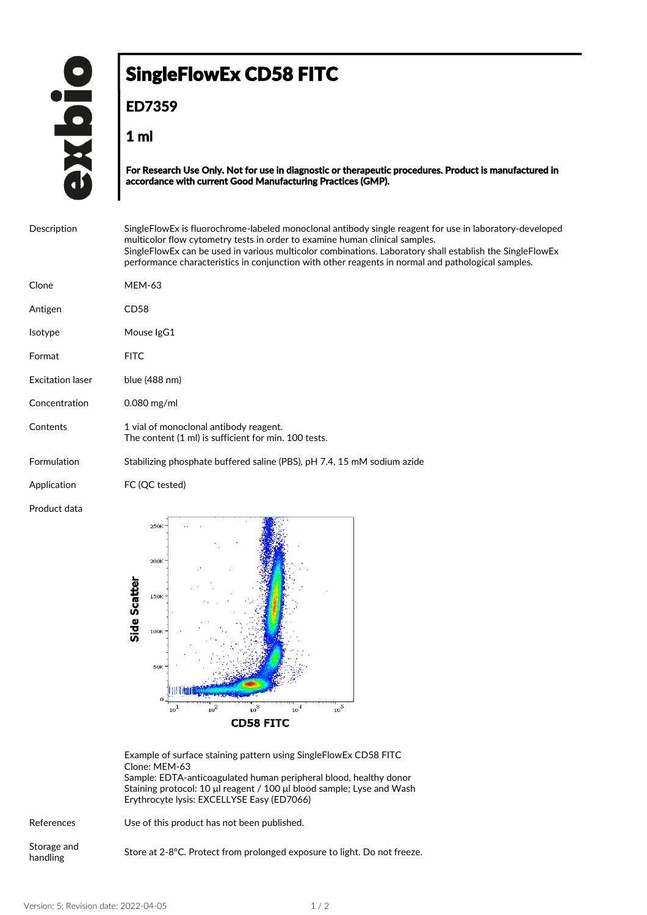## SingleFlowEx CD58 FITC

**ED7359**

**1 ml**

**For Research Use Only. Not for use in diagnostic or therapeutic procedures. Product is manufactured in accordance with current Good Manufacturing Practices (GMP).**

| Description             | Single Flow Ex is fluorochrome-labeled monoclonal antibody single reagent for use in laboratory-developed<br>multicolor flow cytometry tests in order to examine human clinical samples. |
|-------------------------|------------------------------------------------------------------------------------------------------------------------------------------------------------------------------------------|
|                         | SingleFlowEx can be used in various multicolor combinations. Laboratory shall establish the SingleFlowEx                                                                                 |
|                         | performance characteristics in conjunction with other reagents in normal and pathological samples.                                                                                       |
| Clone                   | <b>MEM-63</b>                                                                                                                                                                            |
|                         |                                                                                                                                                                                          |
| Antigen                 | CD <sub>58</sub>                                                                                                                                                                         |
| <b>Isotype</b>          | Mouse IgG1                                                                                                                                                                               |
| Format                  | <b>FITC</b>                                                                                                                                                                              |
|                         |                                                                                                                                                                                          |
| <b>Excitation laser</b> | blue (488 nm)                                                                                                                                                                            |
| Concentration           | $0.080$ mg/ml                                                                                                                                                                            |
| Contents                | 1 vial of monoclonal antibody reagent.                                                                                                                                                   |
|                         | The content (1 ml) is sufficient for min. 100 tests.                                                                                                                                     |
| Formulation             | Stabilizing phosphate buffered saline (PBS), pH 7.4, 15 mM sodium azide                                                                                                                  |
| Application             | FC (QC tested)                                                                                                                                                                           |
| Product data            |                                                                                                                                                                                          |
|                         | $250K =$                                                                                                                                                                                 |

200K Side Scatter 150 100 50k num  $\overline{O}$  $10^5$  $\frac{1}{10}$  $10^{2}$  $10^3$  $10^{4}$ **CD58 FITC** 

Example of surface staining pattern using SingleFlowEx CD58 FITC Clone: MEM-63 Sample: EDTA-anticoagulated human peripheral blood, healthy donor

Staining protocol: 10 μl reagent / 100 μl blood sample; Lyse and Wash Erythrocyte lysis: EXCELLYSE Easy (ED7066)

References Use of this product has not been published.

Storage and

Storage and Store at 2-8°C. Protect from prolonged exposure to light. Do not freeze.